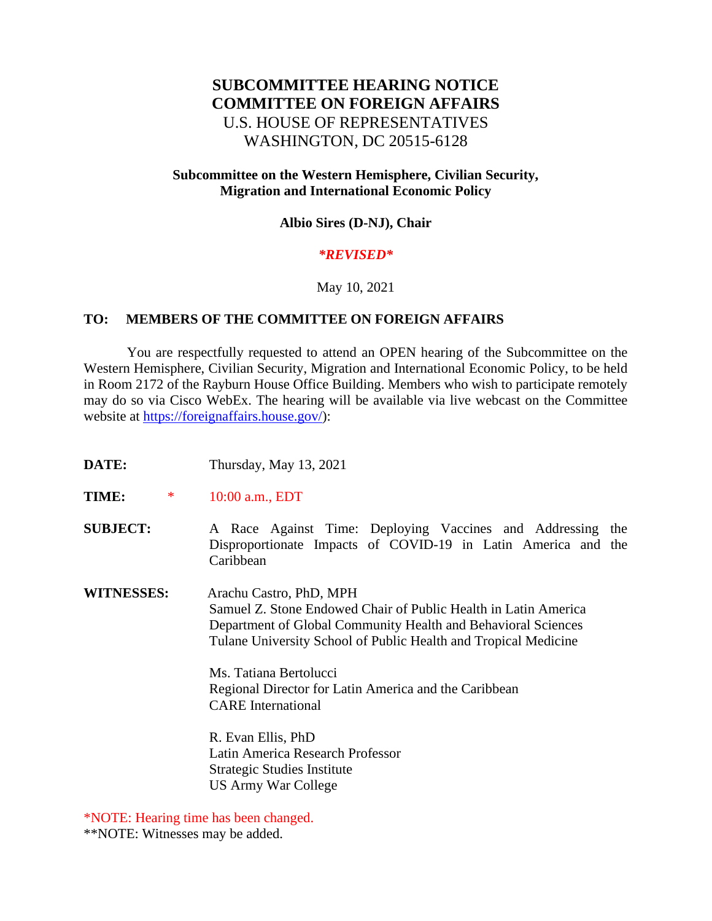# **SUBCOMMITTEE HEARING NOTICE COMMITTEE ON FOREIGN AFFAIRS** U.S. HOUSE OF REPRESENTATIVES WASHINGTON, DC 20515-6128

### **Subcommittee on the Western Hemisphere, Civilian Security, Migration and International Economic Policy**

#### **Albio Sires (D-NJ), Chair**

#### *\*REVISED\**

#### May 10, 2021

#### **TO: MEMBERS OF THE COMMITTEE ON FOREIGN AFFAIRS**

 You are respectfully requested to attend an OPEN hearing of the Subcommittee on the Western Hemisphere, Civilian Security, Migration and International Economic Policy, to be held in Room 2172 of the Rayburn House Office Building. Members who wish to participate remotely may do so via Cisco WebEx. The hearing will be available via live webcast on the Committee website at [https://foreignaffairs.house.gov/\)](https://foreignaffairs.house.gov/):

- **DATE:** Thursday, May 13, 2021
- **TIME:** \* 10:00 a.m., EDT

**SUBJECT:** A Race Against Time: Deploying Vaccines and Addressing the Disproportionate Impacts of COVID-19 in Latin America and the Caribbean

**WITNESSES:** Arachu Castro, PhD, MPH Samuel Z. Stone Endowed Chair of Public Health in Latin America Department of Global Community Health and Behavioral Sciences Tulane University School of Public Health and Tropical Medicine

> Ms. Tatiana Bertolucci Regional Director for Latin America and the Caribbean CARE International

R. Evan Ellis, PhD Latin America Research Professor Strategic Studies Institute US Army War College

\*NOTE: Hearing time has been changed.

\*\*NOTE: Witnesses may be added.